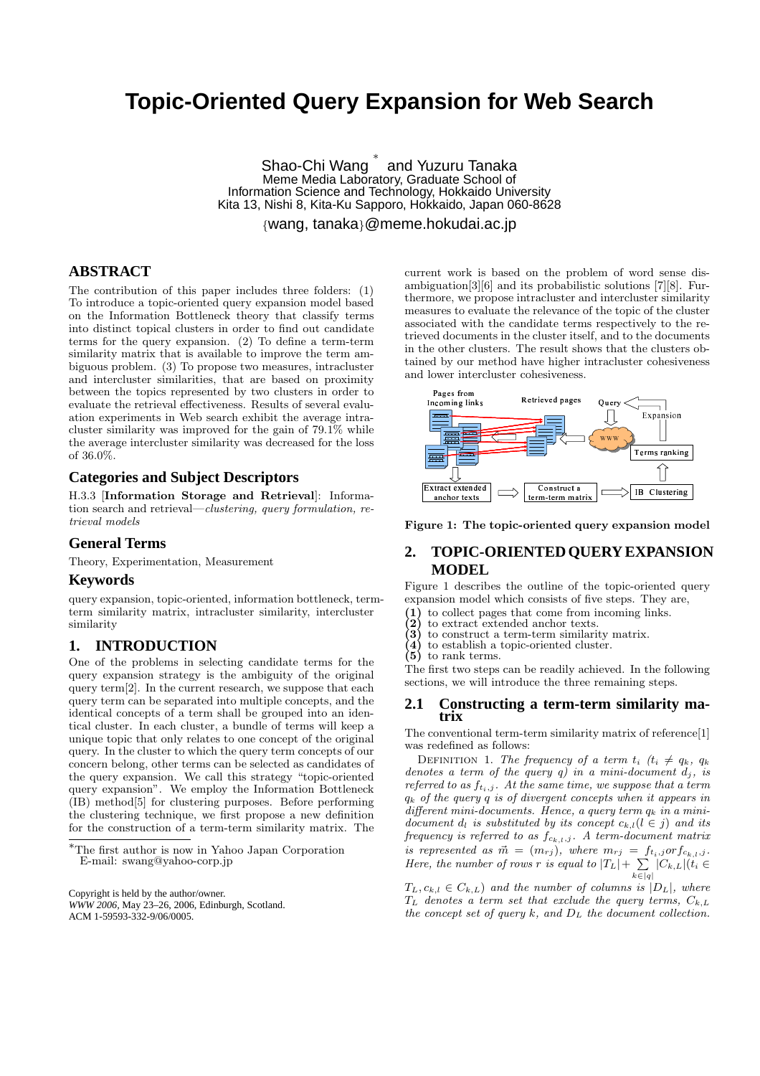# **Topic-Oriented Query Expansion for Web Search**

Shao-Chi Wang ∗ and Yuzuru Tanaka Meme Media Laboratory, Graduate School of Information Science and Technology, Hokkaido University Kita 13, Nishi 8, Kita-Ku Sapporo, Hokkaido, Japan 060-8628

{wang, tanaka}@meme.hokudai.ac.jp

## **ABSTRACT**

The contribution of this paper includes three folders: (1) To introduce a topic-oriented query expansion model based on the Information Bottleneck theory that classify terms into distinct topical clusters in order to find out candidate terms for the query expansion. (2) To define a term-term similarity matrix that is available to improve the term ambiguous problem. (3) To propose two measures, intracluster and intercluster similarities, that are based on proximity between the topics represented by two clusters in order to evaluate the retrieval effectiveness. Results of several evaluation experiments in Web search exhibit the average intracluster similarity was improved for the gain of 79.1% while the average intercluster similarity was decreased for the loss of 36.0%.

#### **Categories and Subject Descriptors**

H.3.3 [Information Storage and Retrieval]: Information search and retrieval—clustering, query formulation, retrieval models

#### **General Terms**

Theory, Experimentation, Measurement

### **Keywords**

query expansion, topic-oriented, information bottleneck, termterm similarity matrix, intracluster similarity, intercluster similarity

### **1. INTRODUCTION**

One of the problems in selecting candidate terms for the query expansion strategy is the ambiguity of the original query term[2]. In the current research, we suppose that each query term can be separated into multiple concepts, and the identical concepts of a term shall be grouped into an identical cluster. In each cluster, a bundle of terms will keep a unique topic that only relates to one concept of the original query. In the cluster to which the query term concepts of our concern belong, other terms can be selected as candidates of the query expansion. We call this strategy "topic-oriented query expansion". We employ the Information Bottleneck (IB) method[5] for clustering purposes. Before performing the clustering technique, we first propose a new definition for the construction of a term-term similarity matrix. The

<sup>∗</sup>The first author is now in Yahoo Japan Corporation E-mail: swang@yahoo-corp.jp

Copyright is held by the author/owner. *WWW 2006,* May 23–26, 2006, Edinburgh, Scotland. ACM 1-59593-332-9/06/0005.

current work is based on the problem of word sense disambiguation[3][6] and its probabilistic solutions [7][8]. Furthermore, we propose intracluster and intercluster similarity measures to evaluate the relevance of the topic of the cluster associated with the candidate terms respectively to the retrieved documents in the cluster itself, and to the documents in the other clusters. The result shows that the clusters obtained by our method have higher intracluster cohesiveness and lower intercluster cohesiveness.



Figure 1: The topic-oriented query expansion model

## **2. TOPIC-ORIENTED QUERY EXPANSION MODEL**

Figure 1 describes the outline of the topic-oriented query expansion model which consists of five steps. They are,

- (1) to collect pages that come from incoming links.<br>(2) to extract extended anchor texts.<br>(3) to construct a term-term similarity matrix.
- to extract extended anchor texts.
- $(3)$  to construct a term-term similarity matrix.<br> $(4)$  to establish a topic-oriented cluster.
- to establish a topic-oriented cluster.
- $(5)$  to rank terms.

The first two steps can be readily achieved. In the following sections, we will introduce the three remaining steps.

#### **2.1 Constructing a term-term similarity matrix**

The conventional term-term similarity matrix of reference[1] was redefined as follows:

DEFINITION 1. The frequency of a term  $t_i$  ( $t_i \neq q_k$ ,  $q_k$ ) denotes a term of the query  $q$ ) in a mini-document  $d_j$ , is referred to as  $f_{t_i,j}$ . At the same time, we suppose that a term  $q_k$  of the query  $q$  is of divergent concepts when it appears in  $differential$  mini-documents. Hence, a query term  $q_k$  in a minidocument  $d_l$  is substituted by its concept  $c_{k,l}(l \in j)$  and its frequency is referred to as  $f_{c_{k,l}}$ , A term-document matrix is represented as  $\vec{m} = (m_{rj})$ , where  $m_{rj} = f_{t_i,j}$  or  $f_{c_{k,l},j}$ . is represented as  $m = (m_{rj})$ , where  $m_{rj} = j$ <br>Here, the number of rows r is equal to  $|T_L| + \sum_{i=1}^{n}$  $\sum_{k\in[q]}|C_{k,L}|(t_i\in$ 

 $T_L, c_{k,l} \in C_{k,L}$  and the number of columns is  $|D_L|$ , where  $T_L$  denotes a term set that exclude the query terms,  $C_{k,L}$ the concept set of query  $k$ , and  $D<sub>L</sub>$  the document collection.